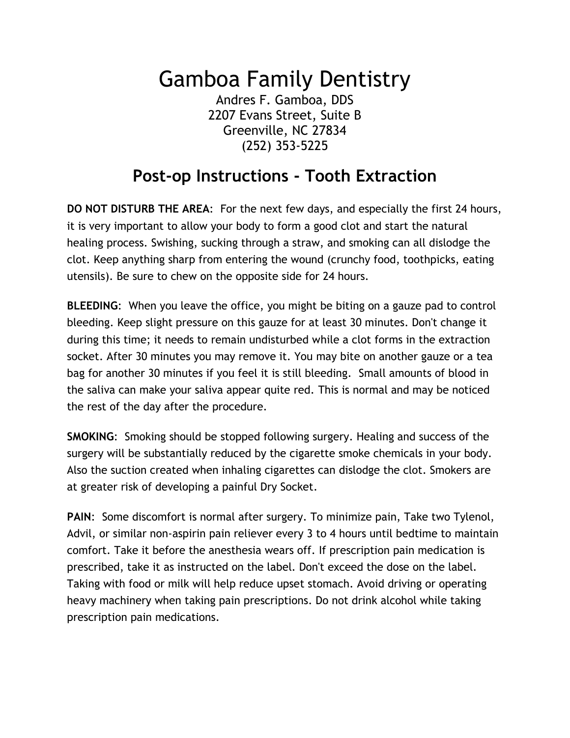## Gamboa Family Dentistry

Andres F. Gamboa, DDS 2207 Evans Street, Suite B Greenville, NC 27834 (252) 353-5225

## **Post-op Instructions - Tooth Extraction**

**DO NOT DISTURB THE AREA**: For the next few days, and especially the first 24 hours, it is very important to allow your body to form a good clot and start the natural healing process. Swishing, sucking through a straw, and smoking can all dislodge the clot. Keep anything sharp from entering the wound (crunchy food, toothpicks, eating utensils). Be sure to chew on the opposite side for 24 hours.

**BLEEDING**: When you leave the office, you might be biting on a gauze pad to control bleeding. Keep slight pressure on this gauze for at least 30 minutes. Don't change it during this time; it needs to remain undisturbed while a clot forms in the extraction socket. After 30 minutes you may remove it. You may bite on another gauze or a tea bag for another 30 minutes if you feel it is still bleeding. Small amounts of blood in the saliva can make your saliva appear quite red. This is normal and may be noticed the rest of the day after the procedure.

**SMOKING**: Smoking should be stopped following surgery. Healing and success of the surgery will be substantially reduced by the cigarette smoke chemicals in your body. Also the suction created when inhaling cigarettes can dislodge the clot. Smokers are at greater risk of developing a painful Dry Socket.

**PAIN**: Some discomfort is normal after surgery. To minimize pain, Take two Tylenol, Advil, or similar non-aspirin pain reliever every 3 to 4 hours until bedtime to maintain comfort. Take it before the anesthesia wears off. If prescription pain medication is prescribed, take it as instructed on the label. Don't exceed the dose on the label. Taking with food or milk will help reduce upset stomach. Avoid driving or operating heavy machinery when taking pain prescriptions. Do not drink alcohol while taking prescription pain medications.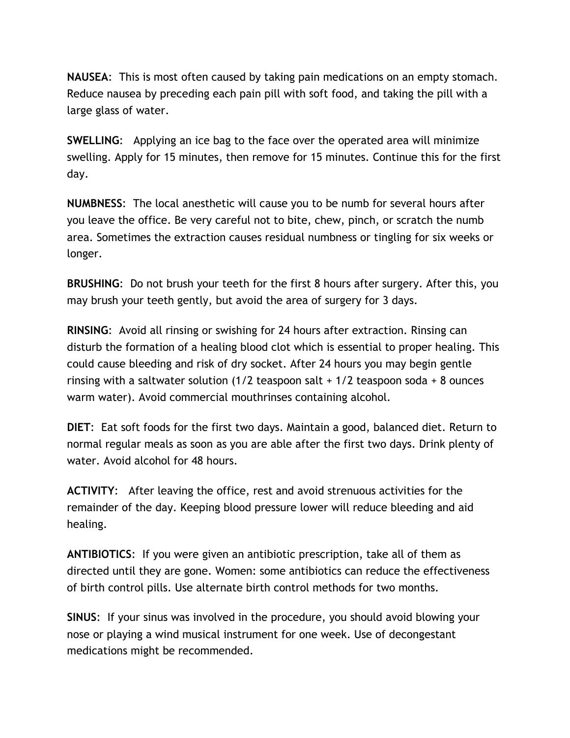**NAUSEA**: This is most often caused by taking pain medications on an empty stomach. Reduce nausea by preceding each pain pill with soft food, and taking the pill with a large glass of water.

**SWELLING**: Applying an ice bag to the face over the operated area will minimize swelling. Apply for 15 minutes, then remove for 15 minutes. Continue this for the first day.

**NUMBNESS**: The local anesthetic will cause you to be numb for several hours after you leave the office. Be very careful not to bite, chew, pinch, or scratch the numb area. Sometimes the extraction causes residual numbness or tingling for six weeks or longer.

**BRUSHING**: Do not brush your teeth for the first 8 hours after surgery. After this, you may brush your teeth gently, but avoid the area of surgery for 3 days.

**RINSING**: Avoid all rinsing or swishing for 24 hours after extraction. Rinsing can disturb the formation of a healing blood clot which is essential to proper healing. This could cause bleeding and risk of dry socket. After 24 hours you may begin gentle rinsing with a saltwater solution  $(1/2)$  teaspoon salt +  $1/2$  teaspoon soda + 8 ounces warm water). Avoid commercial mouthrinses containing alcohol.

**DIET**: Eat soft foods for the first two days. Maintain a good, balanced diet. Return to normal regular meals as soon as you are able after the first two days. Drink plenty of water. Avoid alcohol for 48 hours.

**ACTIVITY**: After leaving the office, rest and avoid strenuous activities for the remainder of the day. Keeping blood pressure lower will reduce bleeding and aid healing.

**ANTIBIOTICS**: If you were given an antibiotic prescription, take all of them as directed until they are gone. Women: some antibiotics can reduce the effectiveness of birth control pills. Use alternate birth control methods for two months.

**SINUS**: If your sinus was involved in the procedure, you should avoid blowing your nose or playing a wind musical instrument for one week. Use of decongestant medications might be recommended.